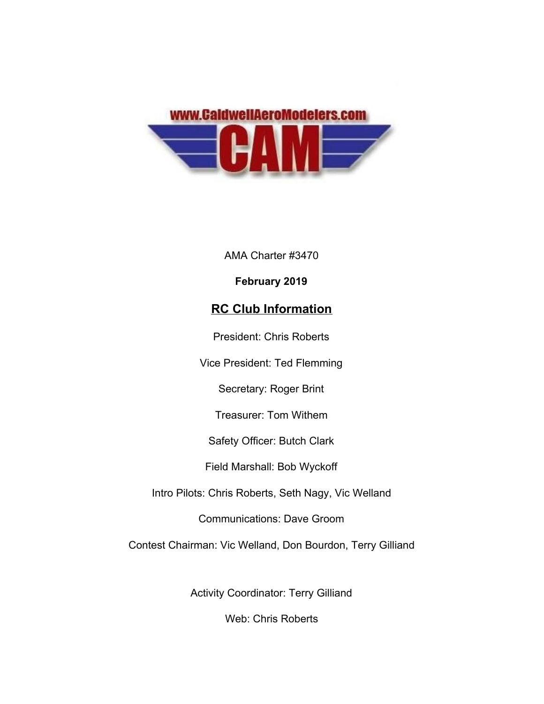

AMA Charter #3470

### **February 2019**

## **RC Club Information**

President: Chris Roberts

Vice President: Ted Flemming

Secretary: Roger Brint

Treasurer: Tom Withem

Safety Officer: Butch Clark

Field Marshall: Bob Wyckoff

Intro Pilots: Chris Roberts, Seth Nagy, Vic Welland

Communications: Dave Groom

Contest Chairman: Vic Welland, Don Bourdon, Terry Gilliand

Activity Coordinator: Terry Gilliand

Web: Chris Roberts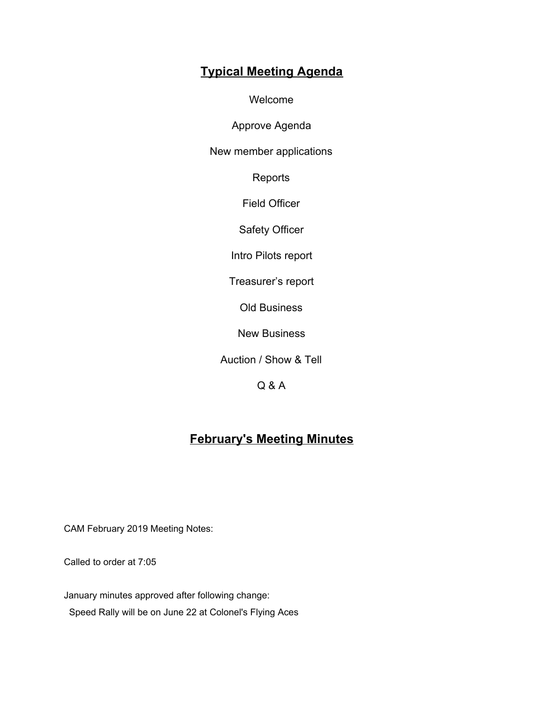# **Typical Meeting Agenda**

Welcome

Approve Agenda

New member applications

Reports

Field Officer

Safety Officer

Intro Pilots report

Treasurer's report

Old Business

New Business

Auction / Show & Tell

Q & A

## **February's Meeting Minutes**

CAM February 2019 Meeting Notes:

Called to order at 7:05

January minutes approved after following change: Speed Rally will be on June 22 at Colonel's Flying Aces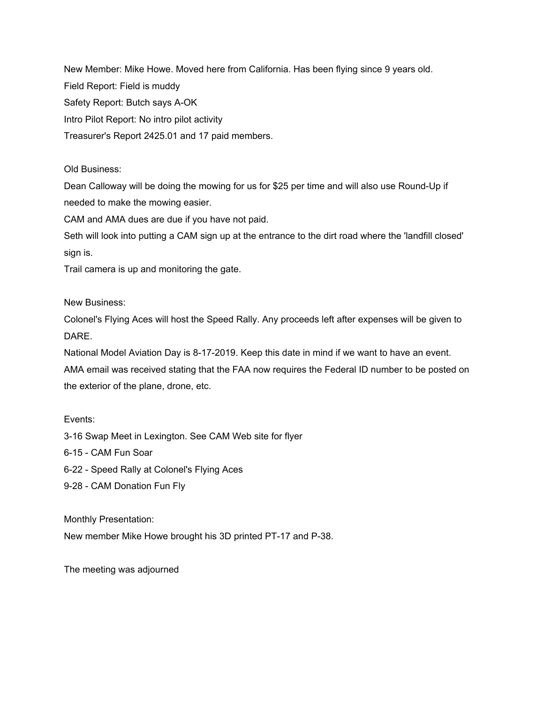New Member: Mike Howe. Moved here from California. Has been flying since 9 years old. Field Report: Field is muddy Safety Report: Butch says A-OK Intro Pilot Report: No intro pilot activity Treasurer's Report 2425.01 and 17 paid members.

### Old Business:

Dean Calloway will be doing the mowing for us for \$25 per time and will also use Round-Up if needed to make the mowing easier.

CAM and AMA dues are due if you have not paid.

Seth will look into putting a CAM sign up at the entrance to the dirt road where the 'landfill closed' sign is.

Trail camera is up and monitoring the gate.

New Business:

Colonel's Flying Aces will host the Speed Rally. Any proceeds left after expenses will be given to DARE.

National Model Aviation Day is 8-17-2019. Keep this date in mind if we want to have an event. AMA email was received stating that the FAA now requires the Federal ID number to be posted on the exterior of the plane, drone, etc.

#### Events:

3-16 Swap Meet in Lexington. See CAM Web site for flyer

6-15 - CAM Fun Soar

6-22 - Speed Rally at Colonel's Flying Aces

9-28 - CAM Donation Fun Fly

Monthly Presentation:

New member Mike Howe brought his 3D printed PT-17 and P-38.

The meeting was adjourned